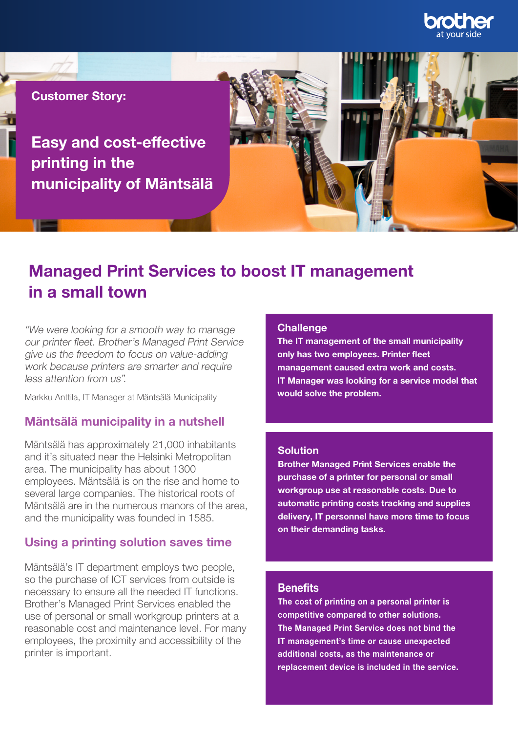

Customer Story:

Easy and cost-effective printing in the municipality of Mäntsälä

# Managed Print Services to boost IT management in a small town

"We were looking for a smooth way to manage our printer fleet. Brother's Managed Print Service give us the freedom to focus on value-adding work because printers are smarter and require less attention from us".

Markku Anttila, IT Manager at Mäntsälä Municipality

## Mäntsälä municipality in a nutshell

Mäntsälä has approximately 21,000 inhabitants and it's situated near the Helsinki Metropolitan area. The municipality has about 1300 employees. Mäntsälä is on the rise and home to several large companies. The historical roots of Mäntsälä are in the numerous manors of the area, and the municipality was founded in 1585.

### Using a printing solution saves time

Mäntsälä's IT department employs two people, so the purchase of ICT services from outside is necessary to ensure all the needed IT functions. Brother's Managed Print Services enabled the use of personal or small workgroup printers at a reasonable cost and maintenance level. For many employees, the proximity and accessibility of the printer is important.

#### **Challenge**

The IT management of the small municipality only has two employees. Printer fleet management caused extra work and costs. IT Manager was looking for a service model that would solve the problem.

#### Solution

Brother Managed Print Services enable the purchase of a printer for personal or small workgroup use at reasonable costs. Due to automatic printing costs tracking and supplies delivery, IT personnel have more time to focus on their demanding tasks.

## **Benefits**

The cost of printing on a personal printer is competitive compared to other solutions. The Managed Print Service does not bind the IT management's time or cause unexpected additional costs, as the maintenance or replacement device is included in the service.